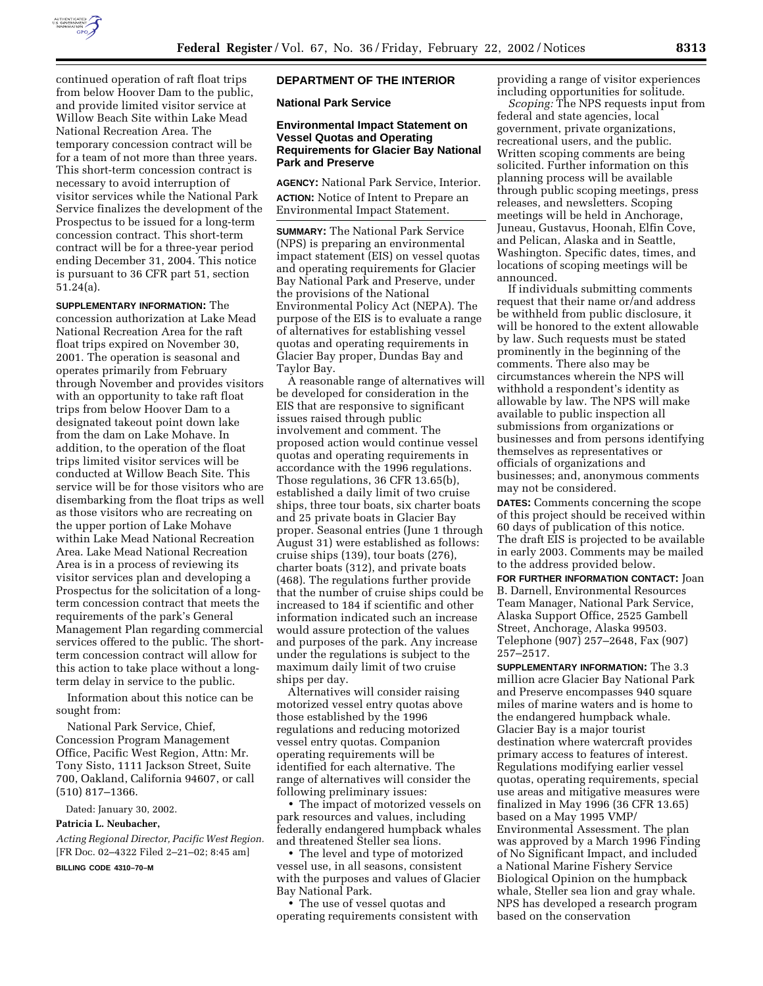

continued operation of raft float trips from below Hoover Dam to the public, and provide limited visitor service at Willow Beach Site within Lake Mead National Recreation Area. The temporary concession contract will be for a team of not more than three years. This short-term concession contract is necessary to avoid interruption of visitor services while the National Park Service finalizes the development of the Prospectus to be issued for a long-term concession contract. This short-term contract will be for a three-year period ending December 31, 2004. This notice is pursuant to 36 CFR part 51, section 51.24(a).

**SUPPLEMENTARY INFORMATION:** The concession authorization at Lake Mead National Recreation Area for the raft float trips expired on November 30, 2001. The operation is seasonal and operates primarily from February through November and provides visitors with an opportunity to take raft float trips from below Hoover Dam to a designated takeout point down lake from the dam on Lake Mohave. In addition, to the operation of the float trips limited visitor services will be conducted at Willow Beach Site. This service will be for those visitors who are disembarking from the float trips as well as those visitors who are recreating on the upper portion of Lake Mohave within Lake Mead National Recreation Area. Lake Mead National Recreation Area is in a process of reviewing its visitor services plan and developing a Prospectus for the solicitation of a longterm concession contract that meets the requirements of the park's General Management Plan regarding commercial services offered to the public. The shortterm concession contract will allow for this action to take place without a longterm delay in service to the public.

Information about this notice can be sought from:

National Park Service, Chief, Concession Program Management Office, Pacific West Region, Attn: Mr. Tony Sisto, 1111 Jackson Street, Suite 700, Oakland, California 94607, or call (510) 817–1366.

Dated: January 30, 2002.

#### **Patricia L. Neubacher,**

*Acting Regional Director, Pacific West Region.* [FR Doc. 02–4322 Filed 2–21–02; 8:45 am] **BILLING CODE 4310–70–M**

## **DEPARTMENT OF THE INTERIOR**

### **National Park Service**

### **Environmental Impact Statement on Vessel Quotas and Operating Requirements for Glacier Bay National Park and Preserve**

**AGENCY:** National Park Service, Interior. **ACTION:** Notice of Intent to Prepare an Environmental Impact Statement.

**SUMMARY:** The National Park Service (NPS) is preparing an environmental impact statement (EIS) on vessel quotas and operating requirements for Glacier Bay National Park and Preserve, under the provisions of the National Environmental Policy Act (NEPA). The purpose of the EIS is to evaluate a range of alternatives for establishing vessel quotas and operating requirements in Glacier Bay proper, Dundas Bay and Taylor Bay.

A reasonable range of alternatives will be developed for consideration in the EIS that are responsive to significant issues raised through public involvement and comment. The proposed action would continue vessel quotas and operating requirements in accordance with the 1996 regulations. Those regulations, 36 CFR 13.65(b), established a daily limit of two cruise ships, three tour boats, six charter boats and 25 private boats in Glacier Bay proper. Seasonal entries (June 1 through August 31) were established as follows: cruise ships (139), tour boats (276), charter boats (312), and private boats (468). The regulations further provide that the number of cruise ships could be increased to 184 if scientific and other information indicated such an increase would assure protection of the values and purposes of the park. Any increase under the regulations is subject to the maximum daily limit of two cruise ships per day.

Alternatives will consider raising motorized vessel entry quotas above those established by the 1996 regulations and reducing motorized vessel entry quotas. Companion operating requirements will be identified for each alternative. The range of alternatives will consider the following preliminary issues:

• The impact of motorized vessels on park resources and values, including federally endangered humpback whales and threatened Steller sea lions.

• The level and type of motorized vessel use, in all seasons, consistent with the purposes and values of Glacier Bay National Park.

• The use of vessel quotas and operating requirements consistent with providing a range of visitor experiences including opportunities for solitude.

*Scoping:* The NPS requests input from federal and state agencies, local government, private organizations, recreational users, and the public. Written scoping comments are being solicited. Further information on this planning process will be available through public scoping meetings, press releases, and newsletters. Scoping meetings will be held in Anchorage, Juneau, Gustavus, Hoonah, Elfin Cove, and Pelican, Alaska and in Seattle, Washington. Specific dates, times, and locations of scoping meetings will be announced.

If individuals submitting comments request that their name or/and address be withheld from public disclosure, it will be honored to the extent allowable by law. Such requests must be stated prominently in the beginning of the comments. There also may be circumstances wherein the NPS will withhold a respondent's identity as allowable by law. The NPS will make available to public inspection all submissions from organizations or businesses and from persons identifying themselves as representatives or officials of organizations and businesses; and, anonymous comments may not be considered.

**DATES:** Comments concerning the scope of this project should be received within 60 days of publication of this notice. The draft EIS is projected to be available in early 2003. Comments may be mailed to the address provided below.

**FOR FURTHER INFORMATION CONTACT:** Joan B. Darnell, Environmental Resources Team Manager, National Park Service, Alaska Support Office, 2525 Gambell Street, Anchorage, Alaska 99503. Telephone (907) 257–2648, Fax (907) 257–2517.

**SUPPLEMENTARY INFORMATION:** The 3.3 million acre Glacier Bay National Park and Preserve encompasses 940 square miles of marine waters and is home to the endangered humpback whale. Glacier Bay is a major tourist destination where watercraft provides primary access to features of interest. Regulations modifying earlier vessel quotas, operating requirements, special use areas and mitigative measures were finalized in May 1996 (36 CFR 13.65) based on a May 1995 VMP/ Environmental Assessment. The plan was approved by a March 1996 Finding of No Significant Impact, and included a National Marine Fishery Service Biological Opinion on the humpback whale, Steller sea lion and gray whale. NPS has developed a research program based on the conservation